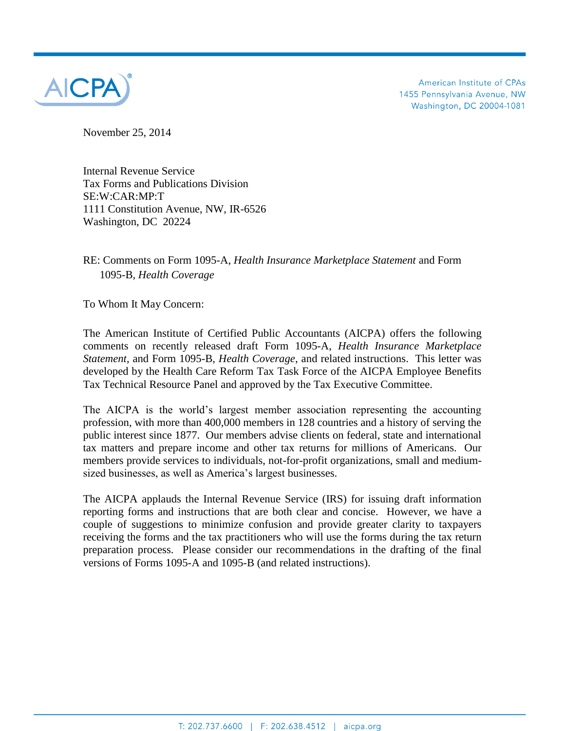

American Institute of CPAs 1455 Pennsylvania Avenue, NW Washington, DC 20004-1081

November 25, 2014

Internal Revenue Service Tax Forms and Publications Division SE:W:CAR:MP:T 1111 Constitution Avenue, NW, IR-6526 Washington, DC 20224

## RE: Comments on Form 1095-A, *Health Insurance Marketplace Statement* and Form 1095-B, *Health Coverage*

To Whom It May Concern:

The American Institute of Certified Public Accountants (AICPA) offers the following comments on recently released draft Form 1095-A, *Health Insurance Marketplace Statement*, and Form 1095-B, *Health Coverage*, and related instructions. This letter was developed by the Health Care Reform Tax Task Force of the AICPA Employee Benefits Tax Technical Resource Panel and approved by the Tax Executive Committee.

The AICPA is the world's largest member association representing the accounting profession, with more than 400,000 members in 128 countries and a history of serving the public interest since 1877. Our members advise clients on federal, state and international tax matters and prepare income and other tax returns for millions of Americans. Our members provide services to individuals, not-for-profit organizations, small and mediumsized businesses, as well as America's largest businesses.

The AICPA applauds the Internal Revenue Service (IRS) for issuing draft information reporting forms and instructions that are both clear and concise. However, we have a couple of suggestions to minimize confusion and provide greater clarity to taxpayers receiving the forms and the tax practitioners who will use the forms during the tax return preparation process. Please consider our recommendations in the drafting of the final versions of Forms 1095-A and 1095-B (and related instructions).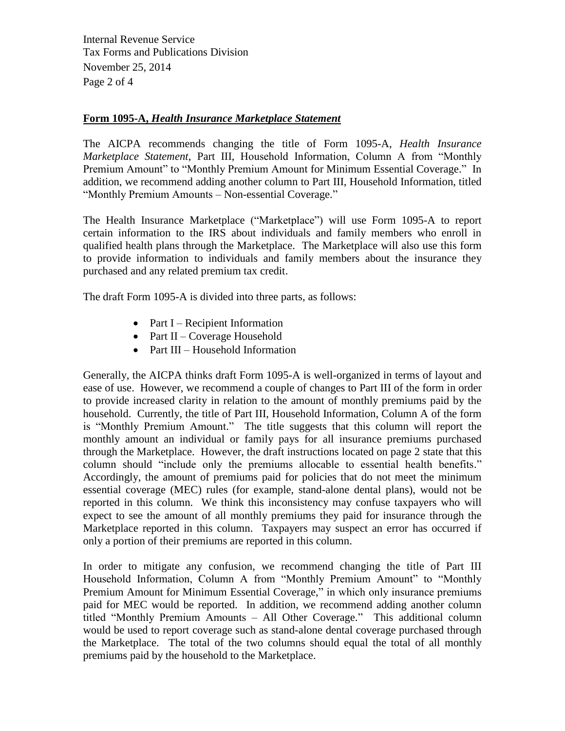Internal Revenue Service Tax Forms and Publications Division November 25, 2014 Page 2 of 4

## **Form 1095-A,** *Health Insurance Marketplace Statement*

The AICPA recommends changing the title of Form 1095-A, *Health Insurance Marketplace Statement*, Part III, Household Information, Column A from "Monthly Premium Amount" to "Monthly Premium Amount for Minimum Essential Coverage." In addition, we recommend adding another column to Part III, Household Information, titled "Monthly Premium Amounts – Non-essential Coverage."

The Health Insurance Marketplace ("Marketplace") will use Form 1095-A to report certain information to the IRS about individuals and family members who enroll in qualified health plans through the Marketplace. The Marketplace will also use this form to provide information to individuals and family members about the insurance they purchased and any related premium tax credit.

The draft Form 1095-A is divided into three parts, as follows:

- Part I Recipient Information
- Part II Coverage Household
- Part III Household Information

Generally, the AICPA thinks draft Form 1095-A is well-organized in terms of layout and ease of use. However, we recommend a couple of changes to Part III of the form in order to provide increased clarity in relation to the amount of monthly premiums paid by the household. Currently, the title of Part III, Household Information, Column A of the form is "Monthly Premium Amount." The title suggests that this column will report the monthly amount an individual or family pays for all insurance premiums purchased through the Marketplace. However, the draft instructions located on page 2 state that this column should "include only the premiums allocable to essential health benefits." Accordingly, the amount of premiums paid for policies that do not meet the minimum essential coverage (MEC) rules (for example, stand-alone dental plans), would not be reported in this column. We think this inconsistency may confuse taxpayers who will expect to see the amount of all monthly premiums they paid for insurance through the Marketplace reported in this column. Taxpayers may suspect an error has occurred if only a portion of their premiums are reported in this column.

In order to mitigate any confusion, we recommend changing the title of Part III Household Information, Column A from "Monthly Premium Amount" to "Monthly Premium Amount for Minimum Essential Coverage," in which only insurance premiums paid for MEC would be reported. In addition, we recommend adding another column titled "Monthly Premium Amounts – All Other Coverage." This additional column would be used to report coverage such as stand-alone dental coverage purchased through the Marketplace. The total of the two columns should equal the total of all monthly premiums paid by the household to the Marketplace.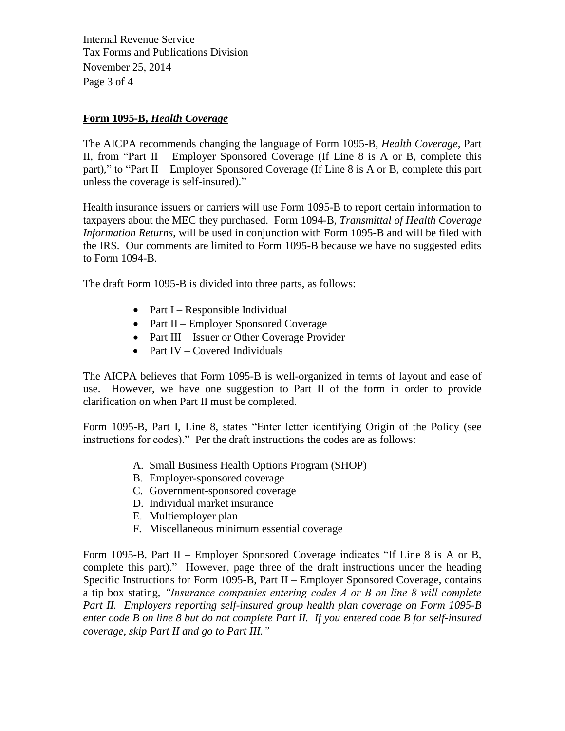Internal Revenue Service Tax Forms and Publications Division November 25, 2014 Page 3 of 4

## **Form 1095-B,** *Health Coverage*

The AICPA recommends changing the language of Form 1095-B, *Health Coverage,* Part II, from "Part II – Employer Sponsored Coverage (If Line 8 is A or B, complete this part)," to "Part II – Employer Sponsored Coverage (If Line 8 is A or B, complete this part unless the coverage is self-insured)."

Health insurance issuers or carriers will use Form 1095-B to report certain information to taxpayers about the MEC they purchased. Form 1094-B, *Transmittal of Health Coverage Information Returns*, will be used in conjunction with Form 1095-B and will be filed with the IRS. Our comments are limited to Form 1095-B because we have no suggested edits to Form 1094-B.

The draft Form 1095-B is divided into three parts, as follows:

- Part I Responsible Individual
- Part II Employer Sponsored Coverage
- Part III Issuer or Other Coverage Provider
- Part IV Covered Individuals

The AICPA believes that Form 1095-B is well-organized in terms of layout and ease of use. However, we have one suggestion to Part II of the form in order to provide clarification on when Part II must be completed.

Form 1095-B, Part I, Line 8, states "Enter letter identifying Origin of the Policy (see instructions for codes)." Per the draft instructions the codes are as follows:

- A. Small Business Health Options Program (SHOP)
- B. Employer-sponsored coverage
- C. Government-sponsored coverage
- D. Individual market insurance
- E. Multiemployer plan
- F. Miscellaneous minimum essential coverage

Form 1095-B, Part II – Employer Sponsored Coverage indicates "If Line 8 is A or B, complete this part)." However, page three of the draft instructions under the heading Specific Instructions for Form 1095-B, Part II – Employer Sponsored Coverage, contains a tip box stating, *"Insurance companies entering codes A or B on line 8 will complete Part II. Employers reporting self-insured group health plan coverage on Form 1095-B enter code B on line 8 but do not complete Part II. If you entered code B for self-insured coverage, skip Part II and go to Part III."*